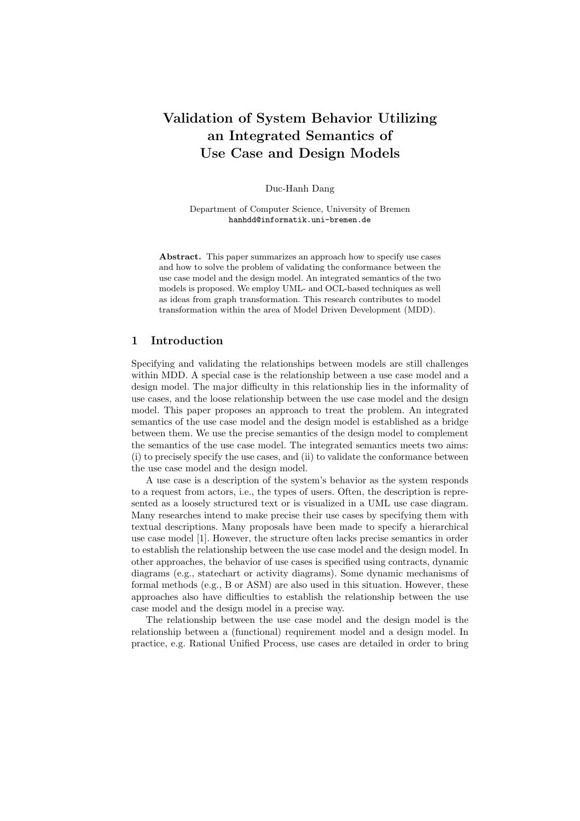# Validation of System Behavior Utilizing an Integrated Semantics of Use Case and Design Models

Duc-Hanh Dang

Department of Computer Science, University of Bremen hanhdd@informatik.uni-bremen.de

Abstract. This paper summarizes an approach how to specify use cases and how to solve the problem of validating the conformance between the use case model and the design model. An integrated semantics of the two models is proposed. We employ UML- and OCL-based techniques as well as ideas from graph transformation. This research contributes to model transformation within the area of Model Driven Development (MDD).

# 1 Introduction

Specifying and validating the relationships between models are still challenges within MDD. A special case is the relationship between a use case model and a design model. The major difficulty in this relationship lies in the informality of use cases, and the loose relationship between the use case model and the design model. This paper proposes an approach to treat the problem. An integrated semantics of the use case model and the design model is established as a bridge between them. We use the precise semantics of the design model to complement the semantics of the use case model. The integrated semantics meets two aims: (i) to precisely specify the use cases, and (ii) to validate the conformance between the use case model and the design model.

A use case is a description of the system's behavior as the system responds to a request from actors, i.e., the types of users. Often, the description is represented as a loosely structured text or is visualized in a UML use case diagram. Many researches intend to make precise their use cases by specifying them with textual descriptions. Many proposals have been made to specify a hierarchical use case model [1]. However, the structure often lacks precise semantics in order to establish the relationship between the use case model and the design model. In other approaches, the behavior of use cases is specified using contracts, dynamic diagrams (e.g., statechart or activity diagrams). Some dynamic mechanisms of formal methods (e.g., B or ASM) are also used in this situation. However, these approaches also have difficulties to establish the relationship between the use case model and the design model in a precise way.

The relationship between the use case model and the design model is the relationship between a (functional) requirement model and a design model. In practice, e.g. Rational Unified Process, use cases are detailed in order to bring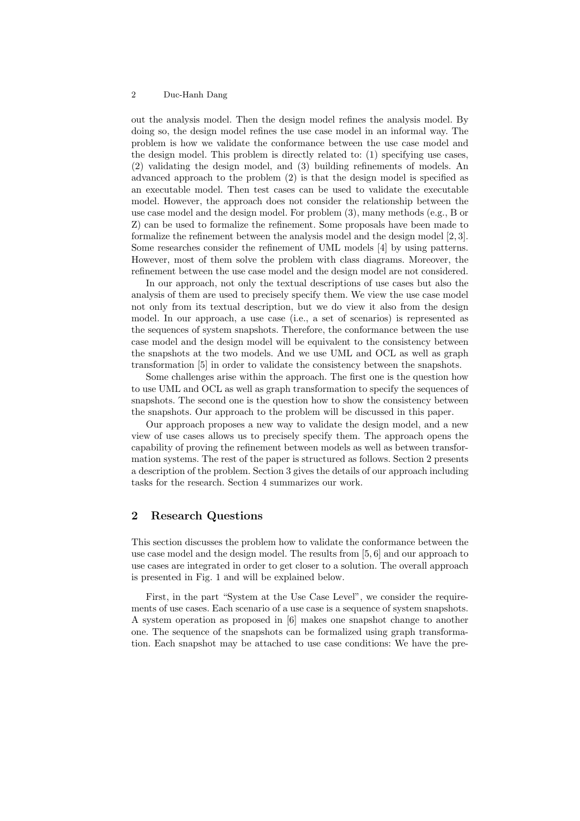# 2 Duc-Hanh Dang

out the analysis model. Then the design model refines the analysis model. By doing so, the design model refines the use case model in an informal way. The problem is how we validate the conformance between the use case model and the design model. This problem is directly related to: (1) specifying use cases, (2) validating the design model, and (3) building refinements of models. An advanced approach to the problem (2) is that the design model is specified as an executable model. Then test cases can be used to validate the executable model. However, the approach does not consider the relationship between the use case model and the design model. For problem (3), many methods (e.g., B or Z) can be used to formalize the refinement. Some proposals have been made to formalize the refinement between the analysis model and the design model [2, 3]. Some researches consider the refinement of UML models [4] by using patterns. However, most of them solve the problem with class diagrams. Moreover, the refinement between the use case model and the design model are not considered.

In our approach, not only the textual descriptions of use cases but also the analysis of them are used to precisely specify them. We view the use case model not only from its textual description, but we do view it also from the design model. In our approach, a use case (i.e., a set of scenarios) is represented as the sequences of system snapshots. Therefore, the conformance between the use case model and the design model will be equivalent to the consistency between the snapshots at the two models. And we use UML and OCL as well as graph transformation [5] in order to validate the consistency between the snapshots.

Some challenges arise within the approach. The first one is the question how to use UML and OCL as well as graph transformation to specify the sequences of snapshots. The second one is the question how to show the consistency between the snapshots. Our approach to the problem will be discussed in this paper.

Our approach proposes a new way to validate the design model, and a new view of use cases allows us to precisely specify them. The approach opens the capability of proving the refinement between models as well as between transformation systems. The rest of the paper is structured as follows. Section 2 presents a description of the problem. Section 3 gives the details of our approach including tasks for the research. Section 4 summarizes our work.

# 2 Research Questions

This section discusses the problem how to validate the conformance between the use case model and the design model. The results from [5, 6] and our approach to use cases are integrated in order to get closer to a solution. The overall approach is presented in Fig. 1 and will be explained below.

First, in the part "System at the Use Case Level", we consider the requirements of use cases. Each scenario of a use case is a sequence of system snapshots. A system operation as proposed in [6] makes one snapshot change to another one. The sequence of the snapshots can be formalized using graph transformation. Each snapshot may be attached to use case conditions: We have the pre-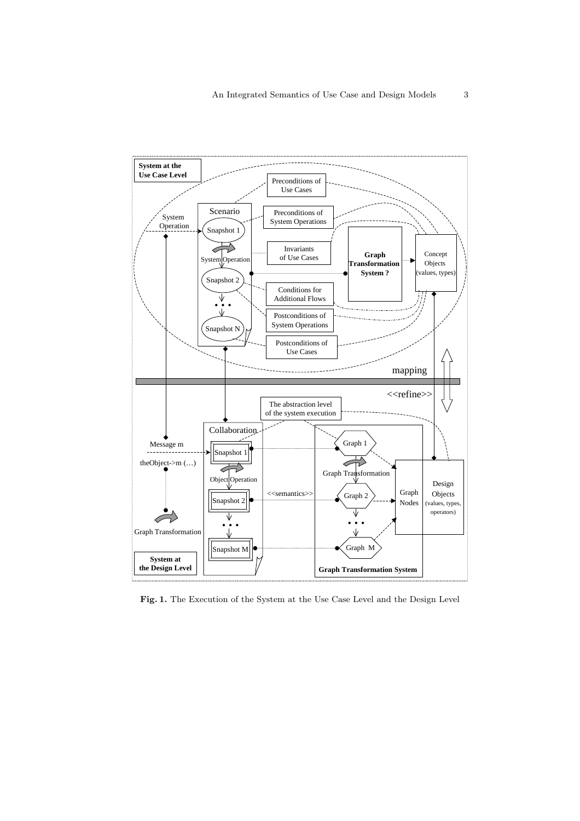

Fig. 1. The Execution of the System at the Use Case Level and the Design Level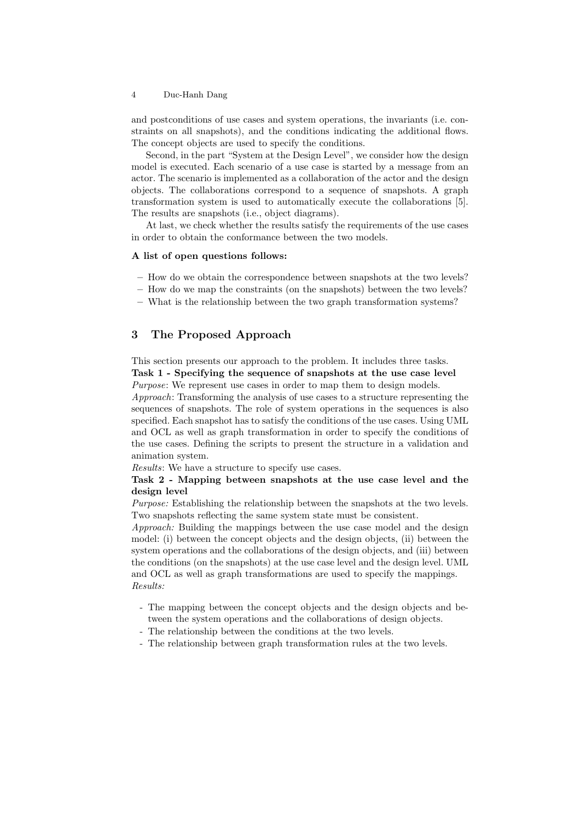### 4 Duc-Hanh Dang

and postconditions of use cases and system operations, the invariants (i.e. constraints on all snapshots), and the conditions indicating the additional flows. The concept objects are used to specify the conditions.

Second, in the part "System at the Design Level", we consider how the design model is executed. Each scenario of a use case is started by a message from an actor. The scenario is implemented as a collaboration of the actor and the design objects. The collaborations correspond to a sequence of snapshots. A graph transformation system is used to automatically execute the collaborations [5]. The results are snapshots (i.e., object diagrams).

At last, we check whether the results satisfy the requirements of the use cases in order to obtain the conformance between the two models.

#### A list of open questions follows:

- How do we obtain the correspondence between snapshots at the two levels?
- How do we map the constraints (on the snapshots) between the two levels?
- What is the relationship between the two graph transformation systems?

# 3 The Proposed Approach

This section presents our approach to the problem. It includes three tasks. Task 1 - Specifying the sequence of snapshots at the use case level Purpose: We represent use cases in order to map them to design models.

Approach: Transforming the analysis of use cases to a structure representing the sequences of snapshots. The role of system operations in the sequences is also specified. Each snapshot has to satisfy the conditions of the use cases. Using UML and OCL as well as graph transformation in order to specify the conditions of the use cases. Defining the scripts to present the structure in a validation and animation system.

Results: We have a structure to specify use cases.

# Task 2 - Mapping between snapshots at the use case level and the design level

Purpose: Establishing the relationship between the snapshots at the two levels. Two snapshots reflecting the same system state must be consistent.

Approach: Building the mappings between the use case model and the design model: (i) between the concept objects and the design objects, (ii) between the system operations and the collaborations of the design objects, and (iii) between the conditions (on the snapshots) at the use case level and the design level. UML and OCL as well as graph transformations are used to specify the mappings. Results:

- The mapping between the concept objects and the design objects and between the system operations and the collaborations of design objects.
- The relationship between the conditions at the two levels.
- The relationship between graph transformation rules at the two levels.